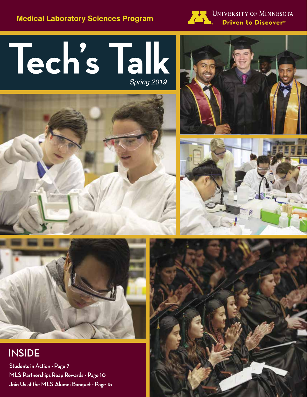**Medical Laboratory Sciences Program** 



UNIVERSITY OF MINNESOTA Driven to Discover<sup>sM</sup>

# Tech's Talk









# **INSIDE**

**Students in Action - Page 7 MLS Partnerships Reap Rewards - Page 10 Join Us at the MLS Alumni Banquet - Page 15**

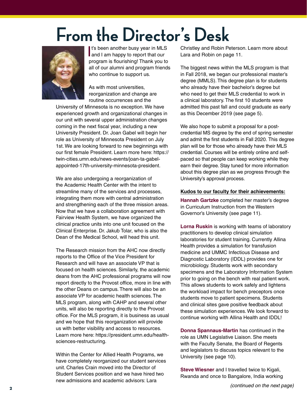# **From the Director's Desk**



It's been another busy year in MLS<br>and I am happy to report that our It's been another busy year in MLS program is flourishing! Thank you to all of our alumni and program friends who continue to support us.

As with most universities, reorganization and change are routine occurrences and the

University of Minnesota is no exception. We have experienced growth and organizational changes in our unit with several upper administration changes coming in the next fiscal year, including a new University President. Dr. Joan Gabel will begin her role as University of Minnesota President on July 1st. We are looking forward to new beginnings with our first female President. Learn more here: https:// twin-cities.umn.edu/news-events/joan-ta-gabelappointed-17th-university-minnesota-president.

We are also undergoing a reorganization of the Academic Health Center with the intent to streamline many of the services and processes, integrating them more with central administration and strengthening each of the three mission areas. Now that we have a collaboration agreement with Fairview Health System, we have organized the clinical practice units into one unit focused on the Clinical Enterprise. Dr. Jakub Tolar, who is also the Dean of the Medical School, will head this unit.

The Research mission from the AHC now directly reports to the Office of the Vice President for Research and will have an associate VP that is focused on health sciences. Similarly, the academic deans from the AHC professional programs will now report directly to the Provost office, more in line with the other Deans on campus. There will also be an associate VP for academic health sciences. The MLS program, along with CAHP and several other units, will also be reporting directly to the Provost office. For the MLS program, it is business as usual and we hope that this reorganization will provide us with better visibility and access to resources. Learn more here: https://president.umn.edu/healthsciences-restructuring.

Within the Center for Allied Health Programs, we have completely reorganized our student services unit. Charles Crain moved into the Director of Student Services position and we have hired two new admissions and academic advisors: Lara

Christley and Robin Peterson. Learn more about Lara and Robin on page 11.

The biggest news within the MLS program is that in Fall 2018, we began our professional master's degree (MMLS). This degree plan is for students who already have their bachelor's degree but who need to get their MLS credential to work in a clinical laboratory. The first 10 students were admitted this past fall and could graduate as early as this December 2019 (see page 5).

We also hope to submit a proposal for a postcredential MS degree by the end of spring semester and admit the first students in Fall 2020. This degree plan will be for those who already have their MLS credential. Courses will be entirely online and selfpaced so that people can keep working while they earn their degree. Stay tuned for more information about this degree plan as we progress through the University's approval process.

#### **Kudos to our faculty for their achievements:**

**Hannah Gartzke** completed her master's degree in Curriculum Instruction from the Western Governor's University (see page 11).

**Lorna Ruskin** is working with teams of laboratory practitioners to develop clinical simulation laboratories for student training. Currently Allina Health provides a simulation for transfusion medicine and UMMC Infectious Disease and Diagnostic Laboratory (IDDL) provides one for microbiology. Students work with secondary specimens and the Laboratory Information System prior to going on the bench with real patient work. This allows students to work safely and lightens the workload impact for bench preceptors once students move to patient specimens. Students and clinical sites gave positive feedback about these simulation experiences. We look forward to continue working with Allina Health and IDDL!

**Donna Spannaus-Martin** has continued in the role as UMN Legislative Liaison. She meets with the Faculty Senate, the Board of Regents and legislators to discuss topics relevant to the University (see page 10).

**Steve Wiesner** and I travelled twice to Kigali, Rwanda and once to Bangalore, India working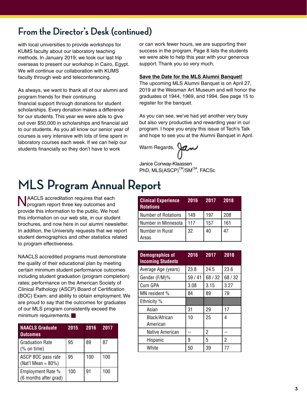# **From the Director's Desk (continued)**

with local universities to provide workshops for KUMS faculty about our laboratory teaching methods. In January 2019, we took our last trip overseas to present our workshop in Cairo, Egypt. We will continue our collaboration with KUMS faculty through web and teleconferencing.

As always, we want to thank all of our alumni and program friends for their continuing financial support through donations for student scholarships. Every donation makes a difference for our students. This year we were able to give out over \$50,000 in scholarships and financial aid to our students. As you all know our senior year of courses is very intensive with lots of time spent in laboratory courses each week. If we can help our students financially so they don't have to work

or can work fewer hours, we are supporting their success in the program. Page 8 lists the students we were able to help this year with your generous support. Thank you so very much.

#### **Save the Date for the MLS Alumni Banquet!**

The upcoming MLS Alumni Banquet is on April 27, 2019 at the Weisman Art Museum and will honor the graduates of 1944, 1969, and 1994. See page 15 to register for the banquet.

As you can see, we've had yet another very busy but also very productive and rewarding year in our program. I hope you enjoy this issue of Tech's Talk and hope to see you at the Alumni Banquet in April.

Warm Regards,

Janice Conway-Klaassen PhD, MLS(ASCP)<sup>CM</sup>/SM<sup>CM</sup>, FACSc

# **MLS Program Annual Report**

**NAACLS** accreditation requires that each **V** program report three key outcomes and provide this information to the public. We host this information on our web site, in our student brochures, and now here in our alumni newsletter. In addition, the University requests that we report student demographics and other statistics related to program effectiveness.

NAACLS accredited programs must demonstrate the quality of their educational plan by meeting certain minimum student performance outcomes including student graduation (program completion) rates; performance on the American Society of Clinical Pathology (ASCP) Board of Certification (BOC) Exam; and ability to obtain employment. We are proud to say that the outcomes for graduates of our MLS program consistently exceed the minimum requirements.

| <b>NAACLS Graduate</b><br><b>Outcomes</b>                | 2015 | 2016 | 2017 |
|----------------------------------------------------------|------|------|------|
| <b>Graduation Rate</b><br>$(% \mathcal{L}_{0})$ on time) | 95   | 89   | 87   |
| ASCP BOC pass rate<br>(Nat'l Mean = $80\%$ )             | 95   | 100  | 100  |
| Employment Rate %<br>(6 months after grad)               | 100  | 91   | 100  |

| <b>Clinical Experience</b><br><b>Rotations</b> | 2016 | 2017 | 2018 |
|------------------------------------------------|------|------|------|
| <b>Number of Rotations</b>                     | 149  | 197  | 208  |
| Number in Minnesota                            | 117  | 157  | 161  |
| Number in Rural<br>Areas                       | 32   | 40   | 47   |

| <b>Demographics of</b><br><b>Incoming Students</b> | 2016  | 2017  | 2018  |
|----------------------------------------------------|-------|-------|-------|
| Average Age (years)                                | 23.8  | 24.5  | 23.6  |
| Gender (F/M)%                                      | 59/41 | 68/32 | 68/32 |
| Cum GPA                                            | 3.08  | 3.15  | 3.27  |
| MN resident %                                      | 84    | 89    | 79    |
| Ethnicity %                                        |       |       |       |
| Asian                                              | 31    | 29    | 17    |
| Black/African<br>American                          | 10    | 25    | 4     |
| Native American                                    |       | 2     |       |
| Hispanic                                           | 9     | 5     | 2     |
| White                                              | 50    | 39    | 77    |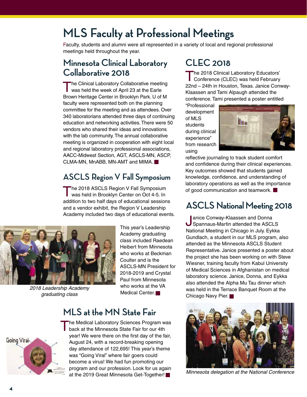# **MLS Faculty at Professional Meetings**

Faculty, students and alumni were all represented in a variety of local and regional professional meetings held throughout the year.

# **Minnesota Clinical Laboratory Collaborative 2018**

The Clinical Laboratory Collaborative meeting was held the week of April 23 at the Earle Brown Heritage Center in Brooklyn Park. U of M faculty were represented both on the planning committee for the meeting and as attendees. Over 340 laboratorians attended three days of continuing education and networking activities. There were 50 vendors who shared their ideas and innovations with the lab community. The annual collaborative meeting is organized in cooperation with eight local and regional laboratory professional associations, AACC-Midwest Section, AGT, ASCLS-MN, ASCP, CLMA-MN, MnABB, MN-AMT and MIMA.

# **ASCLS Region V Fall Symposium**

The 2018 ASCLS Region V Fall Symposium was held in Brooklyn Center on Oct 4-5. In addition to two half days of educational sessions and a vendor exhibit, the Region V Leadership Academy included two days of educational events.



*2018 Leadership Academy graduating class*

This year's Leadership Academy graduating class included Raedean Heibert from Minnesota who works at Beckman Coulter and is the ASCLS-MN President for 2018-2019 and Crystal Paul from Minnesota who works at the VA Medical Center.<sup>1</sup>

# **MLS at the MN State Fair**



**he Medical Laboratory Sciences Program was** back at the Minnesota State Fair for our 4th year! We were there on the first day of the fair, August 24, with a record-breaking opening day attendance of 122,695! This year's theme was "Going Viral" where fair goers could become a virus! We had fun promoting our program and our profession. Look for us again at the 2019 Great Minnesota Get-Together!

# **CLEC 2018**

The 2018 Clinical Laboratory Educators'<br>
Conference (CLEC) was held February 22nd – 24th in Houston, Texas. Janice Conway-Klaassen and Tami Alpaugh attended the conference. Tami presented a poster entitled

"Professional development of MLS students during clinical experience" from research using



reflective journaling to track student comfort and confidence during their clinical experiences. Key outcomes showed that students gained knowledge, confidence, and understanding of laboratory operations as well as the importance of good communication and teamwork.

# **ASCLS National Meeting 2018**

Janice Conway-Klaassen and Donna Spannaus-Martin attended the ASCLS National Meeting in Chicago in July. Eykka Gundlach, a student in our MLS program, also attended as the Minnesota ASCLS Student Representative. Janice presented a poster about the project she has been working on with Steve Wiesner, training faculty from Kabul University of Medical Sciences in Afghanistan on medical laboratory science. Janice, Donna, and Eykka also attended the Alpha Mu Tau dinner which was held in the Terrace Banquet Room at the Chicago Navy Pier.



*Minnesota delegation at the National Conference*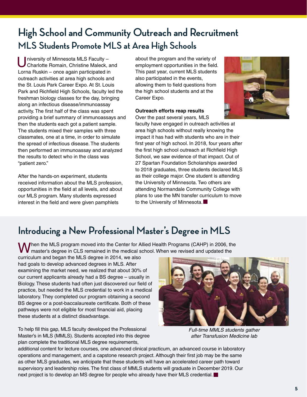# **High School and Community Outreach and Recruitment MLS Students Promote MLS at Area High Schools**

University of Minnesota MLS Faculty -<br>Charlotte Romain, Christine Maleck, and Lorna Ruskin – once again participated in outreach activities at area high schools and the St. Louis Park Career Expo. At St. Louis Park and Richfield High Schools, faculty led the freshman biology classes for the day, bringing along an infectious disease/immunoassay activity. The first half of the class was spent providing a brief summary of immunoassays and then the students each got a patient sample. The students mixed their samples with three classmates, one at a time, in order to simulate the spread of infectious disease. The students then performed an immunoassay and analyzed the results to detect who in the class was "patient zero."

After the hands-on experiment, students received information about the MLS profession, opportunities in the field at all levels, and about our MLS program. Many students expressed interest in the field and were given pamphlets

about the program and the variety of employment opportunities in the field. This past year, current MLS students also participated in the events, allowing them to field questions from the high school students and at the Career Expo.

#### **Outreach efforts reap results**

Over the past several years, MLS

faculty have engaged in outreach activities at area high schools without really knowing the impact it has had with students who are in their first year of high school. In 2018, four years after the first high school outreach at Richfield High School, we saw evidence of that impact. Out of 27 Spartan Foundation Scholarships awarded to 2018 graduates, three students declared MLS as their college major. One student is attending the University of Minnesota. Two others are attending Normandale Community College with plans to use the MN transfer curriculum to move to the University of Minnesota.

# **Introducing a New Professional Master's Degree in MLS**

When the MLS program moved into the Center for Allied Health Programs (CAHP) in 2006, the master's degree in CLS remained in the medical school. When we revised and updated the

curriculum and began the MLS degree in 2014, we also had goals to develop advanced degrees in MLS. After examining the market need, we realized that about 30% of our current applicants already had a BS degree – usually in Biology. These students had often just discovered our field of practice, but needed the MLS credential to work in a medical laboratory. They completed our program obtaining a second BS degree or a post-baccalaureate certificate. Both of these pathways were not eligible for most financial aid, placing these students at a distinct disadvantage.

To help fill this gap, MLS faculty developed the Professional Master's in MLS (MMLS). Students accepted into this degree plan complete the traditional MLS degree requirements,



*Full-time MMLS students gather after Transfusion Medicine lab*

additional content for lecture courses, one advanced clinical practicum, an advanced course in laboratory operations and management, and a capstone research project. Although their first job may be the same as other MLS graduates, we anticipate that these students will have an accelerated career path toward supervisory and leadership roles. The first class of MMLS students will graduate in December 2019. Our next project is to develop an MS degree for people who already have their MLS credential.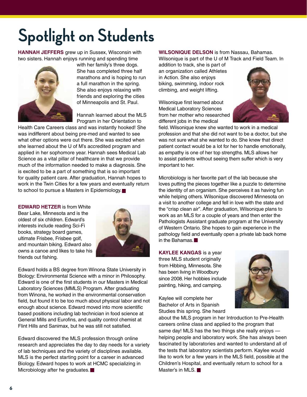# **Spotlight on Students**

**HANNAH JEFFERS** grew up in Sussex, Wisconsin with two sisters. Hannah enjoys running and spending time



with her family's three dogs. She has completed three half marathons and is hoping to run a full marathon in the spring. She also enjoys relaxing with friends and exploring the cities of Minneapolis and St. Paul.

Hannah learned about the MLS Program in her Orientation to

Health Care Careers class and was instantly hooked! She was indifferent about being pre-med and wanted to see what other options were out there. She was excited when she learned about the U of M's accredited program and applied in her sophomore year. Hannah sees Medical Lab Science as a vital pillar of healthcare in that we provide much of the information needed to make a diagnosis. She is excited to be a part of something that is so important for quality patient care. After graduation, Hannah hopes to work in the Twin Cities for a few years and eventually return to school to pursue a Masters in Epidemiology.

**EDWARD HETZER** is from White

Bear Lake, Minnesota and is the oldest of six children. Edward's interests include reading Sci-Fi books, strategy board games, ultimate Frisbee, Frisbee golf, and mountain biking. Edward also owns a canoe and likes to take his friends out fishing.



Edward holds a BS degree from Winona State University in Biology: Environmental Science with a minor in Philosophy. Edward is one of the first students in our Masters in Medical Laboratory Sciences (MMLS) Program. After graduating from Winona, he worked in the environmental conservation field, but found it to be too much about physical labor and not enough about science. Edward moved into more scientific based positions including lab technician in food science at General Mills and Eurofins, and quality control chemist at Flint Hills and Sanimax, but he was still not satisfied.

Edward discovered the MLS profession through online research and appreciates the day to day needs for a variety of lab techniques and the variety of disciplines available. MLS is the perfect starting point for a career in advanced Biology. Edward hopes to work at HCMC specializing in Microbiology after he graduates.

#### **WILSONIQUE DELSON** is from Nassau, Bahamas.

Wilsonique is part of the U of M Track and Field Team. In

addition to track, she is part of an organization called Athletes in Action. She also enjoys biking, swimming, indoor rock climbing, and weight lifting.

Wilsonique first learned about Medical Laboratory Sciences from her mother who researched different jobs in the medical



field. Wilsonique knew she wanted to work in a medical profession and that she did not want to be a doctor, but she was not sure what she wanted to do. She knew that direct patient contact would be a lot for her to handle emotionally, as empathy is one of her top strengths. MLS allows her to assist patients without seeing them suffer which is very important to her.

Microbiology is her favorite part of the lab because she loves putting the pieces together like a puzzle to determine the identity of an organism. She perceives it as having fun while helping others. Wilsonique discovered Minnesota on a visit to another college and fell in love with the state and the "crisp clean air". After graduation, Wilsonique plans to work as an MLS for a couple of years and then enter the Pathologists Assistant graduate program at the University of Western Ontario. She hopes to gain experience in the pathology field and eventually open a private lab back home in the Bahamas.

**KAYLEE KANGAS** is a year three MLS student originally from Hibbing, Minnesota. She has been living in Woodbury since 2008. Her hobbies include painting, hiking, and camping.

Kaylee will complete her Bachelor of Arts in Spanish Studies this spring. She heard



about the MLS program in her Introduction to Pre-Health careers online class and applied to the program that same day! MLS has the two things she really enjoys helping people and laboratory work. She has always been fascinated by laboratories and wanted to understand all of the tests that laboratory scientists perform. Kaylee would like to work for a few years in the MLS field, possible at the Children's Hospital, and eventually return to school for a Master's in MLS.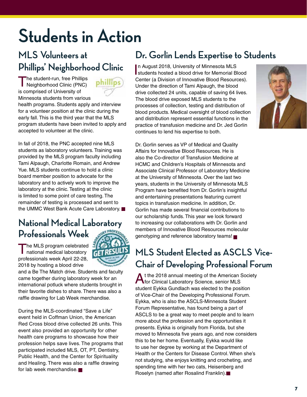# **Students in Action**

# **MLS Volunteers at Phillips' Neighborhood Clinic**

The student-run, free Phillips phillips Neighborhood Clinic (PNC) is comprised of University of Minnesota students from various health programs. Students apply and interview for a volunteer position at the clinic during the early fall. This is the third year that the MLS program students have been invited to apply and accepted to volunteer at the clinic.

In fall of 2018, the PNC accepted nine MLS students as laboratory volunteers. Training was provided by the MLS program faculty including Tami Alpaugh, Charlotte Romain, and Andrew Yue. MLS students continue to hold a clinic board member position to advocate for the laboratory and to actively work to improve the laboratory at the clinic. Testing at the clinic is limited to some point of care testing. The remainder of testing is processed and sent to the UMMC West Bank Acute Care Laboratory.

# **National Medical Laboratory Professionals Week**

The MLS program celebrated<br>
national medical laboratory professionals week April 22-28, 2018 by hosting a blood drive



and a Be The Match drive. Students and faculty came together during laboratory week for an international potluck where students brought in their favorite dishes to share. There was also a raffle drawing for Lab Week merchandise.

During the MLS-coordinated "Save a Life" event held in Coffman Union, the American Red Cross blood drive collected 26 units. This event also provided an opportunity for other health care programs to showcase how their profession helps save lives. The programs that participated included MLS, OT, PT, Dentistry, Public Health, and the Center for Spirituality and Healing. There was also a raffle drawing for lab week merchandise.

# **Dr. Gorlin Lends Expertise to Students**

In August 2018, University of Minnesota MLS<br>Istudents hosted a blood drive for Memorial Bl students hosted a blood drive for Memorial Blood Center (a Division of Innovative Blood Resources). Under the direction of Tami Alpaugh, the blood drive collected 24 units, capable of saving 64 lives. The blood drive exposed MLS students to the processes of collection, testing and distribution of blood products. Medical oversight of blood collection and distribution represent essential functions in the practice of transfusion medicine and Dr. Jed Gorlin continues to lend his expertise to both.



Dr. Gorlin serves as VP of Medical and Quality Affairs for Innovative Blood Resources. He is also the Co-director of Transfusion Medicine at HCMC and Children's Hospitals of Minnesota and Associate Clinical Professor of Laboratory Medicine at the University of Minnesota. Over the last two years, students in the University of Minnesota MLS Program have benefited from Dr. Gorlin's insightful and entertaining presentations featuring current topics in transfusion medicine. In addition, Dr. Gorlin has made several financial contributions to our scholarship funds. This year we look forward to increasing our collaborations with Dr. Gorlin and members of Innovative Blood Resources molecular genotyping and reference laboratory teams!

# **MLS Student Elected as ASCLS Vice-Chair of Developing Professional Forum**

At the 2018 annual meeting of the American Society for Clinical Laboratory Science, senior MLS student Eykka Gundlach was elected to the position of Vice-Chair of the Developing Professional Forum. Eykka, who is also the ASCLS-Minnesota Student Forum Representative, has found being a part of ASCLS to be a great way to meet people and to learn more about the profession and the opportunities it presents. Eykka is originally from Florida, but she moved to Minnesota five years ago, and now considers this to be her home. Eventually, Eykka would like to use her degree by working at the Department of Health or the Centers for Disease Control. When she's not studying, she enjoys knitting and crocheting, and spending time with her two cats, Heisenberg and Roselyn (named after Rosalind Franklin).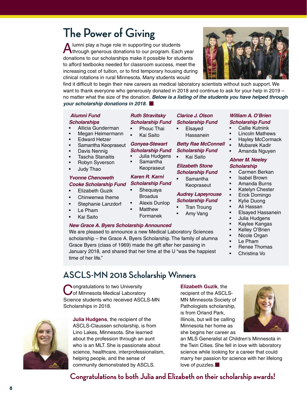# **The Power of Giving**

A lumni play a huge role in supporting our students<br>Athrough generous donations to our program. Each year donations to our scholarships make it possible for students to afford textbooks needed for classroom success, meet the increasing cost of tuition, or to find temporary housing during clinical rotations in rural Minnesota. Many students would

find it difficult to begin their new careers as medical laboratory scientists without such support. We want to thank everyone who generously donated in 2018 and continue to ask for your help in 2019 – no matter what the size of the donation. *Below is a listing of the students you have helped through your scholarship donations in 2018.*

#### *Alumni Fund*

#### *Scholarships*

- Allicia Gunderman
- Megan Heimermann
- Edward Hetzer
- Samantha Keopraseut
- Davis Nennig
- Tascha Stanaitis
- Robyn Syverson
- Judy Thao

#### *Yvonne Chenoweth Cooke Scholarship Fund*

- Elizabeth Guzik
- Chinwenwa Iheme
- Stephanie Lanzdorf
- Le Pham
- Kai Saito

#### *New Grace A. Byers Scholarship Announced*

We are pleased to announce a new Medical Laboratory Sciences scholarship – the Grace A. Byers Scholarship. The family of alumna Grace Byers (class of 1969) made the gift after her passing in January 2018, and shared that her time at the U "was the happiest time of her life."

## **ASCLS-MN 2018 Scholarship Winners**

**C**ongratulations to two University<br> **C** of Minnesota Medical Laboratory Science students who received ASCLS-MN Scholarships in 2018.

**Julia Hudgens**, the recipient of the ASCLS-Claussen scholarship, is from Lino Lakes, Minnesota. She learned about the profession through an aunt who is an MLT. She is passionate about science, healthcare, interprofessionalism, helping people, and the sense of community demonstrated by ASCLS.

#### **Elizabeth Guzik**, the

recipient of the ASCLS-MN Minnesota Society of Pathologists scholarship, is from Orland Park, Illinois, but will be calling Minnesota her home as she begins her career as

an MLS Generalist at Children's Minnesota in the Twin Cities. She fell in love with laboratory science while looking for a career that could marry her passion for science with her lifelong love of puzzles.

## **Congratulations to both Julia and Elizabeth on their scholarship awards!**

*Ruth Stravitsky Scholarship Fund Clarice J. Olson Scholarship Fund*

> **Elsayed** Hassanein

# *Betty Rae McConnell*

*Scholarship Fund* • Kai Saito

- Samantha
	- Keopraseut

#### *Audrey Lapeyrouse Scholarship Fund*

- Tran Troung
- Amy Vang
	- -
		- Kelley O'Brien
		-
		-
		-
		- Christina Vo

#### *William A. O'Brien Scholarship Fund*

- Callie Kutnink
- Lincoln Mathews
- 
- Hayley McCormack
- Mubarek Kadir
- Amanda Nguyen

#### *Abner M. Neeley Scholarship*

- Carmen Berkan
- Isabel Brown
- Amanda Burns
- Katelyn Chester
- Erick Domingo
- Kylie Duong
- Ali Hassan
- Elsayed Hassanein
- Julia Hudgens
- Kaylee Kangas
- 
- Nicole Organ
- Le Pham
- Renee Thomas





- *Elizabeth Stone Scholarship Fund*
	-

- 
- 
- - - - - -
				-







Formanek

• Phouc Thai • Kai Saito *Gonyea-Stewart Scholarship Fund* • Julia Hudgens • Samantha Keopraseut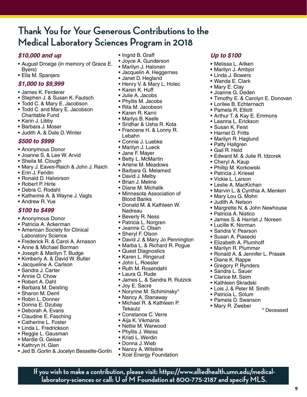# **Thank You for Your Generous Contributions to the Medical Laboratory Sciences Program in 2018**

#### *\$10,000 and up*

- August Droege (in memory of Grace E. Byers)
- Ella M. Spanjers

#### *\$1,000 to \$9,999*

- James K. Ferderer
- Stephen J. & Susan K. Fautsch
- Todd C. & Mary E. Jacobson
- Todd C. and Mary E. Jacobson Charitable Fund
- Karin J. Libby
- Barbara J. Moser
- Judith A. & Dale D. Winter

#### *\$500 to \$999*

- Anonymous Donor
- Joanne S. & Lee W. Arvid
- Sheila M. Clough
- Mary J. Eaves-Raich & John J. Raich
- Erin J. Fendin
- Ronald D. Halvorson
- Robert P. Hirte
- Debra C. Rodahl
- Katherine A. & Wayne J. Vagts
- Andrew R. Yue

#### *\$100 to \$499*

- Anonymous Donor
- Patricia A. Ackerman
- American Society for Clinical Laboratory Science
- Frederick R. & Carol A. Arnason
- Anne & Michael Borman
- Joseph & Marilyn T. Budge
- Kimberly A. & David W. Butler
- Jacqueline A. Carlson
- Sandra J. Carter
- Annie O. Chow
- Robert A. Dahl
- Barbara M. Deisting
- Sharon M. Deml
- Robin L. Donner
- Donna E. Dzubay
- Deborah A. Evans
- Claudine E. Fasching
- Catherine L. Foster
- Linda L. Fredrickson
- Reggie L. Gausman
- Mardie G. Geiser
- Kathryn H. Glen
- Jed B. Gorlin & Jocelyn Bessette-Gorlin
- Ingrid B. Graff
- Joyce A. Gunderson
- Marilyn J. Halonen
- Jacquelin A. Heggernes
- Janet D. Hegland
- Henry V. & Mary L. Holec
- Karen K. Huff
- Julie A. Jacobs
- Phyllis M. Jacobs
- Rita M. Jacobson
- Karen R. Karni
- Marlys B. Keefe
- Sridhar & Usha R. Kota
- Francene H. & Lonny R. Lebahn
- Connie J. Luebke
- Marilyn J. Lueck
- Jane F. Mayer
- Betty L. McMartin
- Arlene M. Meadows
- Barbara G. Melamed
- David J. Melby
- Brian J. Meline
- Diane M. Michalik
- Minnesota Association of Blood Banks
- Donald M. & Kathleen W. Nadreau
- Beverly R. Ness
- Patricia L. Norgren
- Jeanne C. Olsen
- Sheryl F. Olson
- David J. & Mary Jo Pennington
- Marba L. & Richard R. Pogue
- Quest Diagnostics
- Karen L. Ringsrud
- John L. Roesler
- Ruth M. Rosendahl
- Laura G. Rude
- James L. & Sandra R. Rutzick
- Joy E. Sacre
- Norynne M. Schiminsky\*
- Nancy A. Stanaway
- Michael R. & Kathleen P. **Tekautz**
- Constance C. Verre
- Aija K. Vikmanis
- Nettie M. Warwood
- Phyllis J. Weiss
- Kristi L. Werdin
- Donna J. Wieb
- Nancy A. Witstine
- Xcel Energy Foundation

**If you wish to make a contribution, please visit: https://www.alliedhealth.umn.edu/medicallaboratory-sciences or call: U of M Foundation at 800-775-2187 and specify MLS.**

#### *Up to \$100*

- Melissa L. Aitken
- Marilyn J. Ambjor

• Lorilee B. Echternach • Pamela R. Elliott

• Leanna L. Erickson • Susan K. Feist • Harriet D. Fritts • Marilyn R. Haglund • Patty Hallgren • Gail R. Held

• Cheryl A. Kaup • Phillip M. Korkowski • Patricia J. Kriesel • Vickie L. Larson • Leslie A. MacKichan

• Mary Lou G. Mohn • Judith A. Nelson

• Patricia A. Nistico

• Lucille K. Norman • Sandra V. Pearson • Susan A. Piasecki • Elizabeth A. Plumhoff • Marilyn R. Plummer

• Diane K. Rappe • Gregory P. Rynders • Sandra L. Sauer • Clarice M. Seim • Kathleen Skradski • Lois J. & Peter M. Smith • Patricia L. Solum • Pamela D. Swanson

• Arthur T. & Kay E. Emmons

• Edward M. & Julie R. Idzorek

• Marvin L. & Cynthia A. Menken

• Margrette N. & John Newhouse

• James S. & Harriet J. Noreen

• Ronald A. & Jennifer L. Prasek

• Mary R. Zweber \* Deceased

• Timothy E. & Carolyn E. Donovan

**9**

• Linda J. Bowers • Wanda E. Clark

• Mary E. Clay • Joanne G. Deden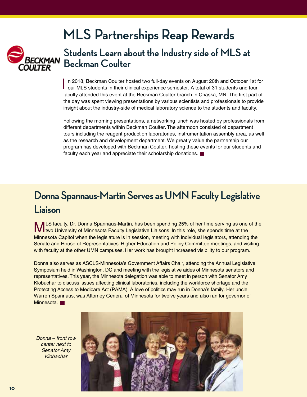# **MLS Partnerships Reap Rewards**



# **Students Learn about the Industry side of MLS at Beckman Coulter**

In 2018, Beckman Coulter hosted two full-day events on August 20th and October 1st<br>I our MLS students in their clinical experience semester. A total of 31 students and four n 2018, Beckman Coulter hosted two full-day events on August 20th and October 1st for faculty attended this event at the Beckman Coulter branch in Chaska, MN. The first part of the day was spent viewing presentations by various scientists and professionals to provide insight about the industry-side of medical laboratory science to the students and faculty.

Following the morning presentations, a networking lunch was hosted by professionals from different departments within Beckman Coulter. The afternoon consisted of department tours including the reagent production laboratories, instrumentation assembly area, as well as the research and development department. We greatly value the partnership our program has developed with Beckman Coulter, hosting these events for our students and faculty each year and appreciate their scholarship donations.

# **Donna Spannaus-Martin Serves as UMN Faculty Legislative Liaison**

MLS faculty, Dr. Donna Spannaus-Martin, has been spending 25% of her time serving as one of the two University of Minnesota Faculty Legislative Liaisons. In this role, she spends time at the Minnesota Capitol when the legislature is in session, meeting with individual legislators, attending the Senate and House of Representatives' Higher Education and Policy Committee meetings, and visiting with faculty at the other UMN campuses. Her work has brought increased visibility to our program.

Donna also serves as ASCLS-Minnesota's Government Affairs Chair, attending the Annual Legislative Symposium held in Washington, DC and meeting with the legislative aides of Minnesota senators and representatives.This year, the Minnesota delegation was able to meet in person with Senator Amy Klobuchar to discuss issues affecting clinical laboratories, including the workforce shortage and the Protecting Access to Medicare Act (PAMA). A love of politics may run in Donna's family. Her uncle, Warren Spannaus, was Attorney General of Minnesota for twelve years and also ran for governor of Minnesota.

*Donna – front row center next to Senator Amy Klobachar*

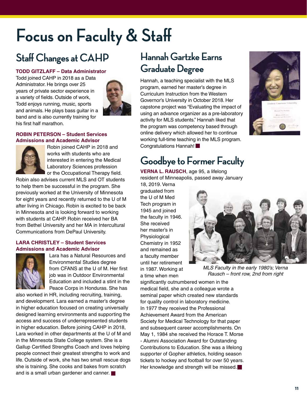# **Focus on Faculty & Staff**

# **Staff Changes at CAHP**

#### **TODD GITZLAFF – Data Administrator**

Todd joined CAHP in 2018 as a Data Administrator. He brings over 25 years of private sector experience in a variety of fields. Outside of work, Todd enjoys running, music, sports and animals. He plays bass guitar in a band and is also currently training for his first half marathon.



#### **ROBIN PETERSON – Student Services Admissions and Academic Advisor**



Robin joined CAHP in 2018 and works with students who are interested in entering the Medical Laboratory Sciences profession or the Occupational Therapy field.

Robin also advises current MLS and OT students to help them be successful in the program. She previously worked at the University of Minnesota for eight years and recently returned to the U of M after living in Chicago. Robin is excited to be back in Minnesota and is looking forward to working with students at CAHP. Robin received her BA from Bethel University and her MA in Intercultural Communications from DePaul University.

#### **LARA CHRISTLEY – Student Services Admissions and Academic Advisor**



Lara has a Natural Resources and Environmental Studies degree from CFANS at the U of M. Her first job was in Outdoor Environmental Education and included a stint in the Peace Corps in Honduras. She has

also worked in HR, including recruiting, training, and development. Lara earned a master's degree in higher education focused on creating universally designed learning environments and supporting the access and success of underrepresented students in higher education. Before joining CAHP in 2018, Lara worked in other departments at the U of M and in the Minnesota State College system. She is a Gallup Certified Strengths Coach and loves helping people connect their greatest strengths to work and life. Outside of work, she has two small rescue dogs she is training. She cooks and bakes from scratch and is a small urban gardener and canner.

# **Hannah Gartzke Earns Graduate Degree**

Hannah, a teaching specialist with the MLS program, earned her master's degree in Curriculum Instruction from the Western Governor's University in October 2018. Her capstone project was "Evaluating the impact of using an advance organizer as a pre-laboratory activity for MLS students." Hannah liked that the program was competency based through online delivery which allowed her to continue working full-time teaching in the MLS program. Congratulations Hannah!



# **Goodbye to Former Faculty**

**VERNA L. RAUSCH**, age 95, a lifelong resident of Minneapolis, passed away January

18, 2019. Verna graduated from the U of M Med Tech program in 1945 and joined the faculty in 1946. She received her master's in Physiological Chemistry in 1952 and remained as a faculty member until her retirement in 1987. Working at a time when men



*MLS Faculty in the early 1980's; Verna Rausch – front row, 2nd from right*

significantly outnumbered women in the medical field, she and a colleague wrote a seminal paper which created new standards for quality control in laboratory medicine. In 1977 they received the Professional Achievement Award from the American Society for Medical Technology for that paper and subsequent career accomplishments. On May 1, 1984 she received the Horace T. Morse - Alumni Association Award for Outstanding Contributions to Education. She was a lifelong supporter of Gopher athletics, holding season tickets to hockey and football for over 50 years. Her knowledge and strength will be missed.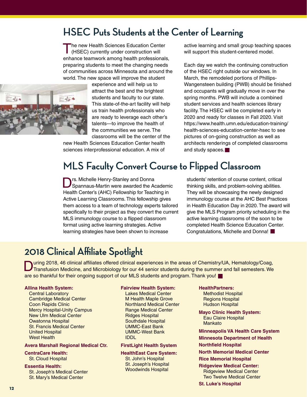# **HSEC Puts Students at the Center of Learning**

The new Health Sciences Education Center (HSEC) currently under construction will enhance teamwork among health professionals, preparing students to meet the changing needs of communities across Minnesota and around the world. The new space will improve the student



experience and will help us to attract the best and the brightest students and faculty to our state. This state-of-the-art facility will help us train health professionals who are ready to leverage each other's talents—to improve the health of the communities we serve. The classrooms will be the center of the

new Health Sciences Education Center health sciences interprofessional education. A mix of

active learning and small group teaching spaces will support this student-centered model.

Each day we watch the continuing construction of the HSEC right outside our windows. In March, the remodeled portions of Phillips-Wangensteen building (PWB) should be finished and occupants will gradually move in over the spring months. PWB will include a combined student services and health sciences library facility. The HSEC will be completed early in 2020 and ready for classes in Fall 2020. Visit [https://www.health.umn.edu/education-training/](https://www.health.umn.edu/education-training/health-sciences-education-center-hsec) health-sciences-education-center-hsec to see pictures of on-going construction as well as architects renderings of completed classrooms and study spaces.

# **MLS Faculty Convert Course to Flipped Classroom**

rs. Michelle Henry-Stanley and Donna Spannaus-Martin were awarded the Academic Health Center's (AHC) Fellowship for Teaching in Active Learning Classrooms. This fellowship gives them access to a team of technology experts tailored specifically to their project as they convert the current MLS immunology course to a flipped classroom format using active learning strategies. Active learning strategies have been shown to increase

students' retention of course content, critical thinking skills, and problem-solving abilities. They will be showcasing the newly designed immunology course at the AHC Best Practices in Health Education Day in 2020. The award will give the MLS Program priority scheduling in the active learning classrooms of the soon to be completed Health Science Education Center. Congratulations, Michelle and Donna!

# **2018 Clinical Affiliate Spotlight**

During 2018, 46 clinical affiliates offered clinical experiences in the areas of Chemistry/UA, Hematology/Coag, <br>Transfusion Medicine, and Microbiology for our 44 senior students during the summer and fall semesters. We are so thankful for their ongoing support of our MLS students and program. Thank you!

#### **Allina Health System:**

Central Laboratory Cambridge Medical Center Coon Rapids Clinic Mercy Hospital-Unity Campus New Ulm Medical Center Owatonna Hospital St. Francis Medical Center United Hospital West Health

#### **Avera Marshall Regional Medical Ctr.**

**CentraCare Health:**  St. Cloud Hospital

#### **Essentia Health:**

St. Joseph's Medical Center St. Mary's Medical Center

#### **Fairview Health System:**

Lakes Medical Center M Health Maple Grove Northland Medical Center Range Medical Center Ridges Hospital Southdale Hospital UMMC-East Bank UMMC-West Bank IDDL

#### **FirstLight Health System**

**HealthEast Care System:** St. John's Hospital St. Joseph's Hospital Woodwinds Hospital

#### **HealthPartners:**

Methodist Hospital Regions Hospital Hudson Hospital

**Mayo Clinic Health System:** Eau Claire Hospital Mankato

**Minneapolis VA Health Care System**

- **Minnesota Department of Health Northfield Hospital**
- **North Memorial Medical Center**

#### **Rice Memorial Hospital**

**Ridgeview Medical Center:** Ridgeview Medical Center Two Twelve Medical Center

**St. Luke's Hospital**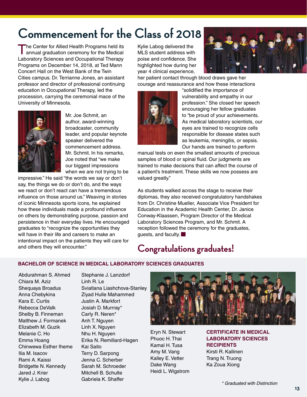# **Commencement for the Class of 2018**

The Center for Allied Health Programs held its<br>
annual graduation ceremony for the Medical Laboratory Sciences and Occupational Therapy Programs on December 14, 2018, at Ted Mann Concert Hall on the West Bank of the Twin Cities campus. Dr. Terrianne Jones, an assistant professor and director of professional continuing education in Occupational Therapy, led the procession, carrying the ceremonial mace of the University of Minnesota.



Mr. Joe Schmit, an author, award-winning broadcaster, community leader, and popular keynote speaker delivered the commencement address. Mr. Schmit. In his remarks, Joe noted that "we make our biggest impressions when we are not trying to be

impressive." He said "the words we say or don't say, the things we do or don't do, and the ways we react or don't react can have a tremendous influence on those around us." Weaving in stories of iconic Minnesota sports icons, he explained how these individuals made a profound influence on others by demonstrating purpose, passion and persistence in their everyday lives. He encouraged graduates to "recognize the opportunities they will have in their life and careers to make an intentional impact on the patients they will care for and others they will encounter."

Kylie Labog delivered the MLS student address with poise and confidence. She highlighted how during her year 4 clinical experience,



her patient contact through blood draws gave her courage and reassurance and how these interactions



"solidified the importance of vulnerability and empathy in our profession." She closed her speech encouraging her fellow graduates to "be proud of your achievements. As medical laboratory scientists, our eyes are trained to recognize cells responsible for disease states such as leukemia, meningitis, or sepsis. Our hands are trained to perform

manual tests on even the smallest amounts of precious samples of blood or spinal fluid. Our judgments are trained to make decisions that can affect the course of a patient's treatment. These skills we now possess are valued greatly."

As students walked across the stage to receive their diplomas, they also received congratulatory handshakes from Dr. Christine Mueller, Associate Vice President for Education in the Academic Health Center, Dr. Janice Conway-Klaassen, Program Director of the Medical Laboratory Sciences Program, and Mr. Schmit. A reception followed the ceremony for the graduates, guests, and faculty.

## **Congratulations graduates!**

#### **BACHELOR OF SCIENCE IN MEDICAL LABORATORY SCIENCES GRADUATES**

Abdurahman S. Ahmed Chiara M. Aziz Shequaya Broadus Anna Chebykina Kara E. Curtis Rebecca DeValk Shelby B. Finneman Matthew J. Formanek Elizabeth M. Guzik Melanie C. Ho Emma Hoang Chinwewa Esther Iheme Ilia M. Isacov Rami A. Kaissi Bridgette N. Kennedy Jared J. Krier Kylie J. Labog

Stephanie J. Lanzdorf Linh R. Le Sviatlana Liashchova-Stanley Ziyad Hulle Mahammed Justin A. Markfort Josiah D. Murrray\* Carly R. Neren\* Anh T. Nguyen Linh X. Nguyen Nhu H. Nguyen Erika N. Remillard-Hagen Kai Saito Terry D. Sarpong Jenna C. Scherber Sarah M. Schroeder Mitchell B. Schulte Gabriela K. Shaffer



Ka Zoua Xiong

Eryn N. Stewart Phuoc H. Thai Kamal H. Tusa Amy M. Vang Kalley E. Vetter Dake Wang Heidi L. Wigstrom **CERTIFICATE IN MEDICAL LABORATORY SCIENCES RECIPIENTS** Kirsti R. Kallinen Trang N. Truong

*\* Graduated with Distinction*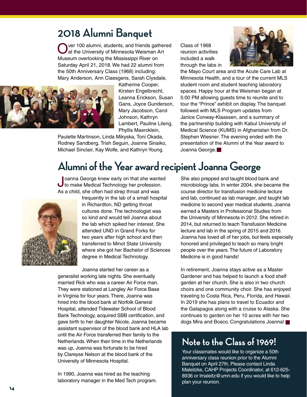# **2018 Alumni Banquet**

Ver 100 alumni, students, and friends gathered at the University of Minnesota Weisman Art Museum overlooking the Mississippi River on Saturday April 21, 2018. We had 22 alumni from the 50th Anniversary Class (1968) including: Mary Anderson, Ann Claesgens, Sarah Clysdale,



Katherine Cooper, Kirsten Engelbrecht, Leanna Erickson, Susan Gans, Joyce Gunderson, Mary Jacobson, Carol Johnson, Kathryn Lambert, Pauline Lileng, Phyllis Maercklein,

Paulette Martinson, Linda Mikyska, Toni Okada, Rodney Sandberg, Trish Seguin, Joanne Sinaiko, Michael Sinclair, Kay Wolfe, and Kathryn Young.

Class of 1968 reunion activities included a walk through the labs in



the Mayo Court area and the Acute Care Lab at Minnesota Health, and a tour of the current MLS student room and student teaching laboratory spaces. Happy hour at the Weisman began at 5:00 PM allowing guests time to reunite and to tour the "Prince" exhibit on display. The banquet followed with MLS Program updates from Janice Conway-Klaassen, and a summary of the partnership building with Kabul University of Medical Science (KUMS) in Afghanistan from Dr. Stephen Wiesner. The evening ended with the presentation of the Alumni of the Year award to Joanna George.

# **Alumni of the Year award recipient Joanna George**

Joanna George knew early on that she wanted to make Medical Technology her profession. As a child, she often had strep throat and was



frequently in the lab of a small hospital in Richardton, ND getting throat cultures done. The technologist was so kind and would tell Joanna about the lab which spiked her interest. She attended UND in Grand Forks for two years after high school and then transferred to Minot State University where she got her Bachelor of Sciences degree in Medical Technology.

Joanna started her career as a generalist working late nights. She eventually married Rick who was a career Air Force man. They were stationed at Langley Air Force Base in Virginia for four years. There, Joanna was hired into the blood bank at Norfolk General Hospital, attended Tidewater School of Blood Bank Technology, acquired SBB certification, and gave birth to her daughter Nicole. Joanna became assistant supervisor of the blood bank and HLA lab until the Air Force transferred their family to the Netherlands. When their time in the Netherlands was up, Joanna was fortunate to be hired by Clareyse Nelson at the blood bank of the University of Minnesota Hospital.

In 1990, Joanna was hired as the teaching laboratory manager in the Med Tech program. She also prepped and taught blood bank and microbiology labs. In winter 2004, she became the course director for transfusion medicine lecture and lab, continued as lab manager, and taught lab medicine to second year medical students. Joanna earned a Masters in Professional Studies from the University of Minnesota in 2012. She retired in 2014, but returned to teach Transfusion Medicine lecture and lab in the spring of 2015 and 2016. Joanna has loved all of her jobs, but feels especially honored and privileged to teach so many bright people over the years. The future of Laboratory Medicine is in good hands!

In retirement, Joanna stays active as a Master Gardener and has helped to launch a food shelf garden at her church. She is also in two church choirs and one community choir. She has enjoyed traveling to Costa Rica, Peru, Florida, and Hawaii. In 2019 she has plans to travel to Ecuador and the Galapagos along with a cruise to Alaska. She continues to garden on her 10 acres with her two dogs Mira and Bosco. Congratulations Joanna!

# **Note to the Class of 1969!**

Your classmates would like to organize a 50th anniversary class reunion prior to the Alumni Banquet on April 27th. Please contact Linda Maleitzke, CAHP Projects Coordinator, at 612-625- 8936 or lmaleitz@umn.edu if you would like to help plan your reunion.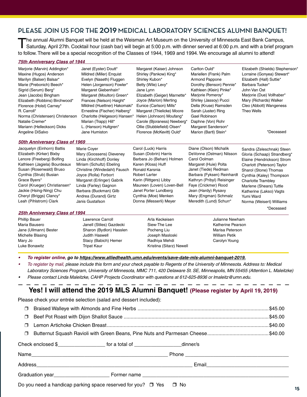### **PLEASE JOIN US FOR THE 2019 MEDICAL LABORATORY SCIENCES ALUMNI BANQUET!**

The annual Alumni Banquet will be held at the Weisman Art Museum on the University of Minnesota East Bank Campus,<br>Saturday, April 27th. Cocktail hour (cash bar) will begin at 5:00 p.m. with dinner served at 6:00 p.m. and w to follow. There will be a special recognition of the Classes of 1944, 1969 and 1994. We encourage all alumni to attend!

#### *75th Anniversary Class of 1944*

| Marjorie (Marvin) Addington*          | Janet (Eyster) Doutt*        | Margaret (Kaiser) Johnson    | Carlton Ould*              | Elizabeth (Shields) Stephenson* |
|---------------------------------------|------------------------------|------------------------------|----------------------------|---------------------------------|
| Maxine (Hugos) Anderson               | Mildred (Miller) Enquist     | Shirley (Pankow) King*       | Mariellen (Frank) Palm     | Lorraine (Gonyea) Stewart*      |
| Marilyn (Balser) Balsar*              | Evelyn (Naseth) Fluggen      | Shirley Kubon*               | <b>Armond Pappone</b>      | Elizabeth (Hall) Suttie*        |
| Marie (Prebonich) Beech*              | Helen (Jorgenson) Fowler*    | Betty (Wile) Levy*           | Dorothy (Benson) Pennie*   | Barbara Tucker*                 |
| Sigrid (Serum) Berg*                  | Margaret Giebenhain*         | Jane Lynn                    | Kathleen (Klein) Pinke*    | John Van Ost                    |
| Jean (Jacobs) Bingham                 | Margaret (Moulton) Green*    | Elizabeth (Geiger) Marnette* | Marjorie Pomeroy*          | Marjorie (Due) Vollhaber*       |
| Elizabeth (Robbins) Birchwood*        | Frances (Nelson) Haight*     | Joyce (Marion) Merting       | Shirley (Jassoy) Pucci     | Mary (Richards) Walker          |
| Florence (Holst) Carney*              | Mildred (Huettner) Hakomaki* | Eunice (Carlson) Mills*      | Della (Kruse) Ramsden      | Cleo (Abbott) Wangeness         |
| R. Carroll*                           | Ernestine (Fischer) Halberg* | Margaret (Thielicke) Moore   | Sarah (Juster) Ring        | Theo Wells                      |
| Norma (Christensen) Christenson       | Charlotte (Helgeson) Hansen* | Helen (Johnson) Moufang*     | Gael Robinson              |                                 |
| Natalie Cremer*                       | Marian (Trapp) Hill*         | Carole (Bjoraness) Newberg*  | Daphne (Von) Rohr          |                                 |
| Mariann (Helleckson) Dicks            | L. (Hanson) Hultgren*        | Ollie (Stubblefield) Olsen*  | Margaret Sanderson*        |                                 |
| Angeline DiSalvo                      | Jane Humiston                | Florence (McKevitt) Ould*    | Marion (Bartl) Stein*      | *Deceased                       |
| <b>50th Anniversary Class of 1969</b> |                              |                              |                            |                                 |
| Jacquelyn (Einhorn) Battis            | Marie Cover                  | Carol (Luck) Harris          | Diane (Olson) Michalik     | Sandra (Zeleschnak) Steen       |
| Elizabeth (Kirker) Bixby              | Mary (Goossens) Dieveney     | Susan (Dobrin) Harris        | DeVonne (Ostman) Nilsson   | Gloria (Schaap) Strandberg*     |
| Lenore (Freeberg) Bolfing             | Linda (Kirchhoff) Donley     | Barbara Jo (Behan) Holmen    | Carol Oolman               | Elaine (Hendrickson) Strom      |
| Kathleen (Jagiela) Bourdeaux          | Miriam (Schultz) Ebeling     | Karen (Kloss) Huff           | Margaret (Huie) Polta      | Charlott (Peterson) Taylor      |
| Susan (Rosenwald) Bruso               | Christine (Windedahl) Fausch | Ronald Karsnia               | Janet (Tiede) Redman       | Sharol (Stone) Thomas           |
| Cynthia (Strub) Busian                | Joyce (Rolla) Forbort        | <b>Robert Larter</b>         | Barbara (Fyksen) Reinhardt | Cynthia (Kaley) Thompson        |
| Grace Byers*                          | Margaret (Erlinger) Gabrik   | Karin (Rittgers) Libby       | Kathryn (Pribyl) Reisinger | <b>Charlotte Tramblev</b>       |

Maureen (Loven) Loven-Bell Janet Porter Lundberg Cynthia (Moe) Menken Donna (Messerli) Meyer

Faye (Crickmer) Rood Jean (Hardy) Rysavy Mary (Engman) Schmalz Meredith (Lund) Schurr\*

Carol (Krueger) Christiansen\* Jackie (Hsing-Ning) Chu Cheryl (Briggs) Clancy\* Leah (Pihlstrom) Clark

| <b>25th Anniversary Class of 1994</b> |                          |                          |                      |  |
|---------------------------------------|--------------------------|--------------------------|----------------------|--|
| <b>Phillip Bauer</b>                  | Lawrence Carroll         | Arla Keckeisen           | Julianne Newham      |  |
| Maria Bausero                         | Janell (Stiles) Gazdecki | Siew-The Lee             | Katherine Pearson    |  |
| Jane (Ullmann) Bester                 | Sharon (Bydlon) Hasslen  | Pocheng Liu              | Marisa Peterson      |  |
| Michelle Blasing                      | Judith Haswell           | Joseph Masloski          | <b>William Petik</b> |  |
| Mary Jo                               | Stacy (Babich) Hemer     | Radhiya Mehdi            | Carolyn Young        |  |
| Luke Bonawitz                         | Tripat Kaur              | Kristina (Sitarz) Newell |                      |  |

**•**  *To register online, go to https://www.alliedhealth.umn.edu/events/save-date-mls-alumni-banquet-2019.*

- To register by mail, please include this form and your check payable to Regents of the University of Minnesota. Address to: Medical *Laboratory Sciences Program, University of Minnesota, MMC 711, 420 Delaware St. SE, Minneapolis, MN 55455 (Attention L. Maleitzke)*
- Please contact Linda Maleitzke, CAHP Projects Coordinator with questions at 612-625-8936 or Imaleitz@umn.edu.

#### **Yes! I will attend the 2019 MLS Alumni Banquet! (Please register by April 19, 2019)**

Please check your entrée selection (salad and dessert included):

Linda (Farley) Gagnon Barbara (Buckman) Gilb Andrea (Durand) Girtz Janis Gustafson

| $\Box$ |                                                                                     |  |  |
|--------|-------------------------------------------------------------------------------------|--|--|
| $\Box$ |                                                                                     |  |  |
|        |                                                                                     |  |  |
| $\Box$ |                                                                                     |  |  |
|        | Check enclosed \$______________________ for a total of ____________________dinner/s |  |  |
|        |                                                                                     |  |  |
|        |                                                                                     |  |  |
|        |                                                                                     |  |  |

Do you need a handicap parking space reserved for you?  $\Box$  Yes  $\Box$  No

\*Deceased

Marlene (Shears) Tuttle Katherine (Lakso) Vagts

Norma (Weisert) Williams

Yumi Ward